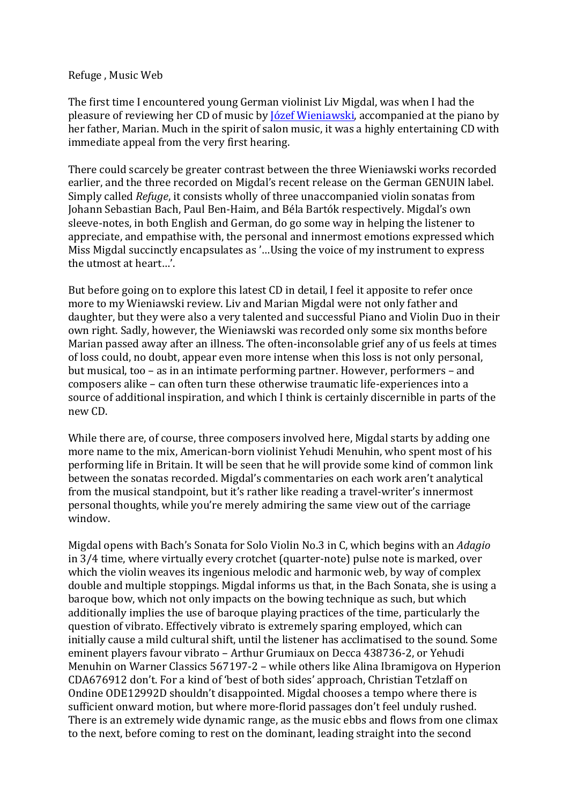## Refuge, Music Web

The first time I encountered young German violinist Liv Migdal, was when I had the pleasure of reviewing her CD of music by Józef Wieniawski, accompanied at the piano by her father, Marian. Much in the spirit of salon music, it was a highly entertaining CD with immediate appeal from the very first hearing.

There could scarcely be greater contrast between the three Wieniawski works recorded earlier, and the three recorded on Migdal's recent release on the German GENUIN label. Simply called *Refuge*, it consists wholly of three unaccompanied violin sonatas from Johann Sebastian Bach, Paul Ben-Haim, and Béla Bartók respectively. Migdal's own sleeve-notes, in both English and German, do go some way in helping the listener to appreciate, and empathise with, the personal and innermost emotions expressed which Miss Migdal succinctly encapsulates as '...Using the voice of my instrument to express the utmost at heart...'.

But before going on to explore this latest CD in detail, I feel it apposite to refer once more to my Wieniawski review. Liv and Marian Migdal were not only father and daughter, but they were also a very talented and successful Piano and Violin Duo in their own right. Sadly, however, the Wieniawski was recorded only some six months before Marian passed away after an illness. The often-inconsolable grief any of us feels at times of loss could, no doubt, appear even more intense when this loss is not only personal, but musical, too – as in an intimate performing partner. However, performers – and composers alike – can often turn these otherwise traumatic life-experiences into a source of additional inspiration, and which I think is certainly discernible in parts of the new CD.

While there are, of course, three composers involved here, Migdal starts by adding one more name to the mix, American-born violinist Yehudi Menuhin, who spent most of his performing life in Britain. It will be seen that he will provide some kind of common link between the sonatas recorded. Migdal's commentaries on each work aren't analytical from the musical standpoint, but it's rather like reading a travel-writer's innermost personal thoughts, while you're merely admiring the same view out of the carriage window.

Migdal opens with Bach's Sonata for Solo Violin No.3 in C, which begins with an *Adagio* in 3/4 time, where virtually every crotchet (quarter-note) pulse note is marked, over which the violin weaves its ingenious melodic and harmonic web, by way of complex double and multiple stoppings. Migdal informs us that, in the Bach Sonata, she is using a baroque bow, which not only impacts on the bowing technique as such, but which additionally implies the use of baroque playing practices of the time, particularly the question of vibrato. Effectively vibrato is extremely sparing employed, which can initially cause a mild cultural shift, until the listener has acclimatised to the sound. Some eminent players favour vibrato – Arthur Grumiaux on Decca 438736-2, or Yehudi Menuhin on Warner Classics 567197-2 – while others like Alina Ibramigova on Hyperion CDA676912 don't. For a kind of 'best of both sides' approach, Christian Tetzlaff on Ondine ODE12992D shouldn't disappointed. Migdal chooses a tempo where there is sufficient onward motion, but where more-florid passages don't feel unduly rushed. There is an extremely wide dynamic range, as the music ebbs and flows from one climax to the next, before coming to rest on the dominant, leading straight into the second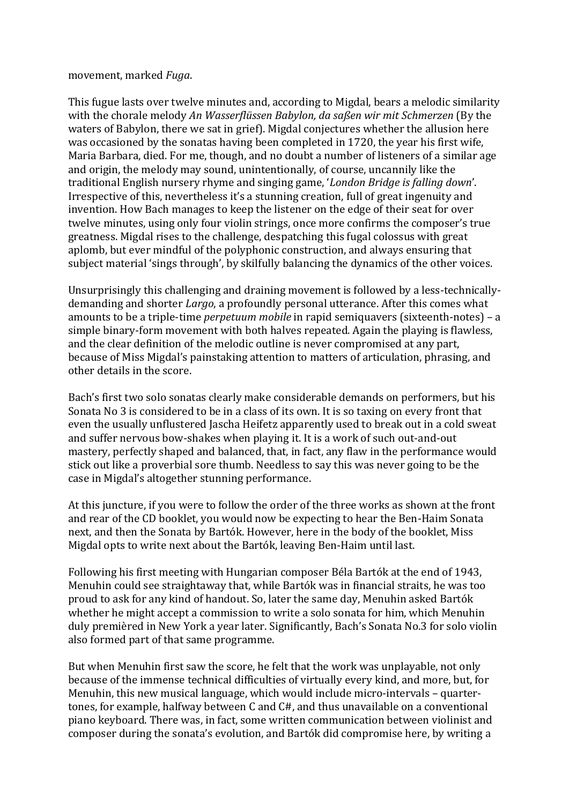## movement, marked *Fugg*.

This fugue lasts over twelve minutes and, according to Migdal, bears a melodic similarity with the chorale melody An Wasserflüssen Babylon, da saßen wir mit Schmerzen (By the waters of Babylon, there we sat in grief). Migdal conjectures whether the allusion here was occasioned by the sonatas having been completed in 1720, the year his first wife, Maria Barbara, died. For me, though, and no doubt a number of listeners of a similar age and origin, the melody may sound, unintentionally, of course, uncannily like the traditional English nursery rhyme and singing game, '*London Bridge is falling down'*. Irrespective of this, nevertheless it's a stunning creation, full of great ingenuity and invention. How Bach manages to keep the listener on the edge of their seat for over twelve minutes, using only four violin strings, once more confirms the composer's true greatness. Migdal rises to the challenge, despatching this fugal colossus with great aplomb, but ever mindful of the polyphonic construction, and always ensuring that subject material 'sings through', by skilfully balancing the dynamics of the other voices.

Unsurprisingly this challenging and draining movement is followed by a less-technicallydemanding and shorter *Largo*, a profoundly personal utterance. After this comes what amounts to be a triple-time *perpetuum mobile* in rapid semiquavers (sixteenth-notes) – a simple binary-form movement with both halves repeated. Again the playing is flawless, and the clear definition of the melodic outline is never compromised at any part, because of Miss Migdal's painstaking attention to matters of articulation, phrasing, and other details in the score.

Bach's first two solo sonatas clearly make considerable demands on performers, but his Sonata No 3 is considered to be in a class of its own. It is so taxing on every front that even the usually unflustered Jascha Heifetz apparently used to break out in a cold sweat and suffer nervous bow-shakes when playing it. It is a work of such out-and-out mastery, perfectly shaped and balanced, that, in fact, any flaw in the performance would stick out like a proverbial sore thumb. Needless to say this was never going to be the case in Migdal's altogether stunning performance.

At this juncture, if you were to follow the order of the three works as shown at the front and rear of the CD booklet, you would now be expecting to hear the Ben-Haim Sonata next, and then the Sonata by Bartók. However, here in the body of the booklet. Miss Migdal opts to write next about the Bartók, leaving Ben-Haim until last.

Following his first meeting with Hungarian composer Béla Bartók at the end of 1943, Menuhin could see straightaway that, while Bartók was in financial straits, he was too proud to ask for any kind of handout. So, later the same day, Menuhin asked Bartók whether he might accept a commission to write a solo sonata for him, which Menuhin duly premièred in New York a year later. Significantly, Bach's Sonata No.3 for solo violin also formed part of that same programme.

But when Menuhin first saw the score, he felt that the work was unplayable, not only because of the immense technical difficulties of virtually every kind, and more, but, for Menuhin, this new musical language, which would include micro-intervals – quartertones, for example, halfway between  $C$  and  $C#$ , and thus unavailable on a conventional piano keyboard. There was, in fact, some written communication between violinist and composer during the sonata's evolution, and Bartók did compromise here, by writing a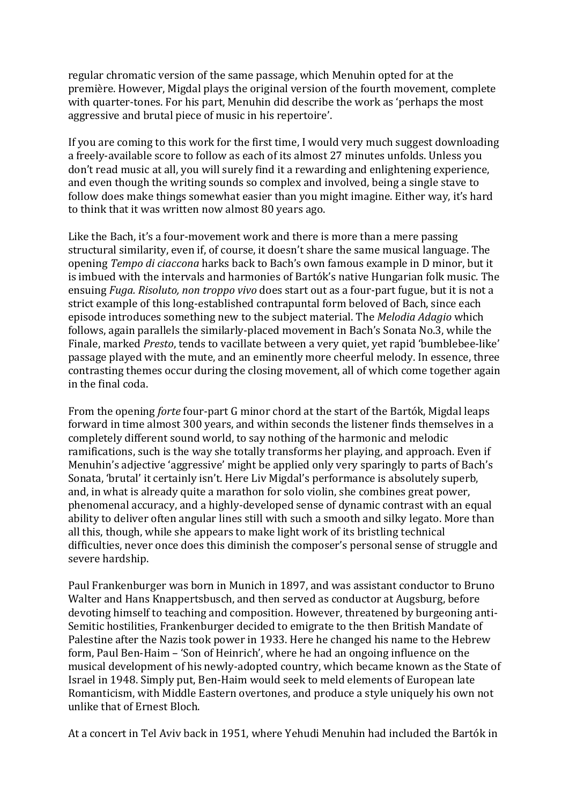regular chromatic version of the same passage, which Menuhin opted for at the première. However, Migdal plays the original version of the fourth movement, complete with quarter-tones. For his part, Menuhin did describe the work as 'perhaps the most aggressive and brutal piece of music in his repertoire'.

If you are coming to this work for the first time, I would very much suggest downloading a freely-available score to follow as each of its almost 27 minutes unfolds. Unless you don't read music at all, you will surely find it a rewarding and enlightening experience, and even though the writing sounds so complex and involved, being a single stave to follow does make things somewhat easier than you might imagine. Either way, it's hard to think that it was written now almost 80 years ago.

Like the Bach, it's a four-movement work and there is more than a mere passing structural similarity, even if, of course, it doesn't share the same musical language. The opening *Tempo di ciaccona* harks back to Bach's own famous example in D minor, but it is imbued with the intervals and harmonies of Bartók's native Hungarian folk music. The ensuing *Fuga. Risoluto, non troppo vivo* does start out as a four-part fugue, but it is not a strict example of this long-established contrapuntal form beloved of Bach, since each episode introduces something new to the subject material. The *Melodia Adagio* which follows, again parallels the similarly-placed movement in Bach's Sonata No.3, while the Finale, marked *Presto*, tends to vacillate between a very quiet, yet rapid 'bumblebee-like' passage played with the mute, and an eminently more cheerful melody. In essence, three contrasting themes occur during the closing movement, all of which come together again in the final coda.

From the opening *forte* four-part G minor chord at the start of the Bartók, Migdal leaps forward in time almost 300 years, and within seconds the listener finds themselves in a completely different sound world, to say nothing of the harmonic and melodic ramifications, such is the way she totally transforms her playing, and approach. Even if Menuhin's adjective 'aggressive' might be applied only very sparingly to parts of Bach's Sonata, 'brutal' it certainly isn't. Here Liv Migdal's performance is absolutely superb, and, in what is already quite a marathon for solo violin, she combines great power, phenomenal accuracy, and a highly-developed sense of dynamic contrast with an equal ability to deliver often angular lines still with such a smooth and silky legato. More than all this, though, while she appears to make light work of its bristling technical difficulties, never once does this diminish the composer's personal sense of struggle and severe hardship.

Paul Frankenburger was born in Munich in 1897, and was assistant conductor to Bruno Walter and Hans Knappertsbusch, and then served as conductor at Augsburg, before devoting himself to teaching and composition. However, threatened by burgeoning anti-Semitic hostilities, Frankenburger decided to emigrate to the then British Mandate of Palestine after the Nazis took power in 1933. Here he changed his name to the Hebrew form, Paul Ben-Haim – 'Son of Heinrich', where he had an ongoing influence on the musical development of his newly-adopted country, which became known as the State of Israel in 1948. Simply put, Ben-Haim would seek to meld elements of European late Romanticism, with Middle Eastern overtones, and produce a style uniquely his own not unlike that of Ernest Bloch.

At a concert in Tel Aviv back in 1951, where Yehudi Menuhin had included the Bartók in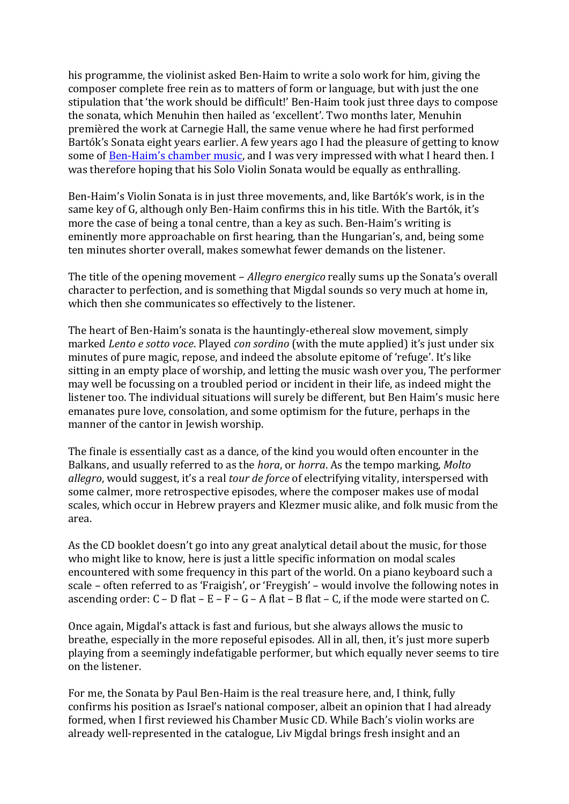his programme, the violinist asked Ben-Haim to write a solo work for him, giving the composer complete free rein as to matters of form or language, but with just the one stipulation that 'the work should be difficult!' Ben-Haim took just three days to compose the sonata, which Menuhin then hailed as 'excellent'. Two months later, Menuhin premièred the work at Carnegie Hall, the same venue where he had first performed Bartók's Sonata eight years earlier. A few years ago I had the pleasure of getting to know some of **Ben-Haim's chamber music**, and I was very impressed with what I heard then. I was therefore hoping that his Solo Violin Sonata would be equally as enthralling.

Ben-Haim's Violin Sonata is in just three movements, and, like Bartók's work, is in the same key of G, although only Ben-Haim confirms this in his title. With the Bartók, it's more the case of being a tonal centre, than a key as such. Ben-Haim's writing is eminently more approachable on first hearing, than the Hungarian's, and, being some ten minutes shorter overall, makes somewhat fewer demands on the listener.

The title of the opening movement – *Allegro energico* really sums up the Sonata's overall character to perfection, and is something that Migdal sounds so very much at home in, which then she communicates so effectively to the listener.

The heart of Ben-Haim's sonata is the hauntingly-ethereal slow movement, simply marked *Lento e sotto voce*. Played *con sordino* (with the mute applied) it's just under six minutes of pure magic, repose, and indeed the absolute epitome of 'refuge'. It's like sitting in an empty place of worship, and letting the music wash over you, The performer may well be focussing on a troubled period or incident in their life, as indeed might the listener too. The individual situations will surely be different, but Ben Haim's music here emanates pure love, consolation, and some optimism for the future, perhaps in the manner of the cantor in Jewish worship.

The finale is essentially cast as a dance, of the kind you would often encounter in the Balkans, and usually referred to as the *hora*, or *horra*. As the tempo marking, *Molto* allegro, would suggest, it's a real *tour de force* of electrifying vitality, interspersed with some calmer, more retrospective episodes, where the composer makes use of modal scales, which occur in Hebrew prayers and Klezmer music alike, and folk music from the area.

As the CD booklet doesn't go into any great analytical detail about the music, for those who might like to know, here is just a little specific information on modal scales encountered with some frequency in this part of the world. On a piano keyboard such a scale – often referred to as 'Fraigish', or 'Freygish' – would involve the following notes in ascending order:  $C - D$  flat  $- E - F - G - A$  flat  $- B$  flat  $- C$ , if the mode were started on C.

Once again, Migdal's attack is fast and furious, but she always allows the music to breathe, especially in the more reposeful episodes. All in all, then, it's just more superb playing from a seemingly indefatigable performer, but which equally never seems to tire on the listener.

For me, the Sonata by Paul Ben-Haim is the real treasure here, and, I think, fully confirms his position as Israel's national composer, albeit an opinion that I had already formed, when I first reviewed his Chamber Music CD. While Bach's violin works are already well-represented in the catalogue, Liv Migdal brings fresh insight and an